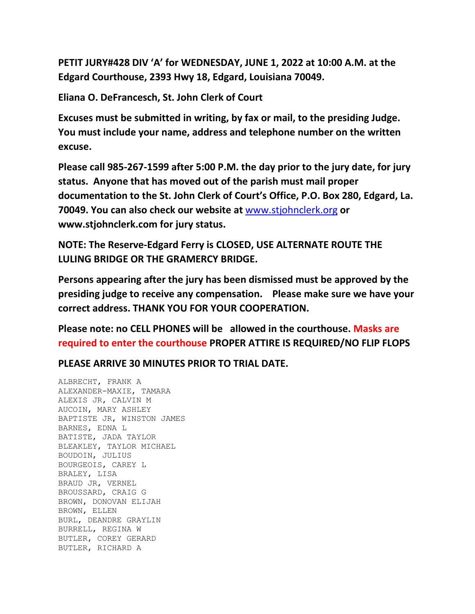**PETIT JURY#428 DIV 'A' for WEDNESDAY, JUNE 1, 2022 at 10:00 A.M. at the Edgard Courthouse, 2393 Hwy 18, Edgard, Louisiana 70049.**

**Eliana O. DeFrancesch, St. John Clerk of Court**

**Excuses must be submitted in writing, by fax or mail, to the presiding Judge. You must include your name, address and telephone number on the written excuse.**

**Please call 985-267-1599 after 5:00 P.M. the day prior to the jury date, for jury status. Anyone that has moved out of the parish must mail proper documentation to the St. John Clerk of Court's Office, P.O. Box 280, Edgard, La. 70049. You can also check our website at** [www.stjohnclerk.org](http://www.stjohnclerk.org/) **or www.stjohnclerk.com for jury status.**

**NOTE: The Reserve-Edgard Ferry is CLOSED, USE ALTERNATE ROUTE THE LULING BRIDGE OR THE GRAMERCY BRIDGE.**

**Persons appearing after the jury has been dismissed must be approved by the presiding judge to receive any compensation. Please make sure we have your correct address. THANK YOU FOR YOUR COOPERATION.**

**Please note: no CELL PHONES will be allowed in the courthouse. Masks are required to enter the courthouse PROPER ATTIRE IS REQUIRED/NO FLIP FLOPS**

**PLEASE ARRIVE 30 MINUTES PRIOR TO TRIAL DATE.**

ALBRECHT, FRANK A ALEXANDER-MAXIE, TAMARA ALEXIS JR, CALVIN M AUCOIN, MARY ASHLEY BAPTISTE JR, WINSTON JAMES BARNES, EDNA L BATISTE, JADA TAYLOR BLEAKLEY, TAYLOR MICHAEL BOUDOIN, JULIUS BOURGEOIS, CAREY L BRALEY, LISA BRAUD JR, VERNEL BROUSSARD, CRAIG G BROWN, DONOVAN ELIJAH BROWN, ELLEN BURL, DEANDRE GRAYLIN BURRELL, REGINA W BUTLER, COREY GERARD BUTLER, RICHARD A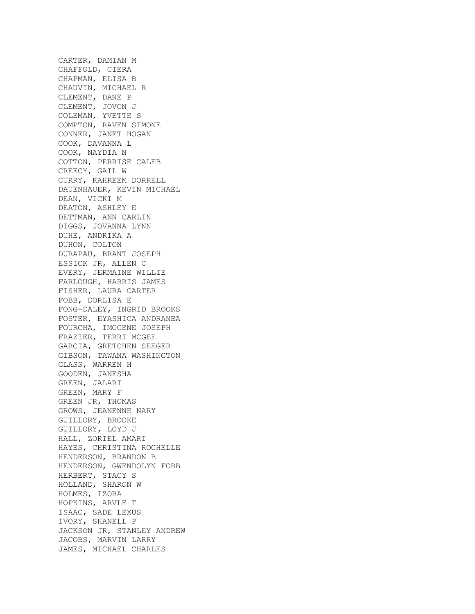CARTER, DAMIAN M CHAFFOLD, CIERA CHAPMAN, ELISA B CHAUVIN, MICHAEL R CLEMENT, DANE P CLEMENT, JOVON J COLEMAN, YVETTE S COMPTON, RAVEN SIMONE CONNER, JANET HOGAN COOK, DAVANNA L COOK, NAYDIA N COTTON, PERRISE CALEB CREECY, GAIL W CURRY, KAHREEM DORRELL DAUENHAUER, KEVIN MICHAEL DEAN, VICKI M DEATON, ASHLEY E DETTMAN, ANN CARLIN DIGGS, JOVANNA LYNN DUHE, ANDRIKA A DUHON, COLTON DURAPAU, BRANT JOSEPH ESSICK JR, ALLEN C EVERY, JERMAINE WILLIE FARLOUGH, HARRIS JAMES FISHER, LAURA CARTER FOBB, DORLISA E FONG-DALEY, INGRID BROOKS FOSTER, EYASHICA ANDRANEA FOURCHA, IMOGENE JOSEPH FRAZIER, TERRI MCGEE GARCIA, GRETCHEN SEEGER GIBSON, TAWANA WASHINGTON GLASS, WARREN H GOODEN, JANESHA GREEN, JALARI GREEN, MARY F GREEN JR, THOMAS GROWS, JEANENNE NARY GUILLORY, BROOKE GUILLORY, LOYD J HALL, ZORIEL AMARI HAYES, CHRISTINA ROCHELLE HENDERSON, BRANDON B HENDERSON, GWENDOLYN FOBB HERBERT, STACY S HOLLAND, SHARON W HOLMES, IZORA HOPKINS, ARVLE T ISAAC, SADE LEXUS IVORY, SHANELL P JACKSON JR, STANLEY ANDREW JACOBS, MARVIN LARRY JAMES, MICHAEL CHARLES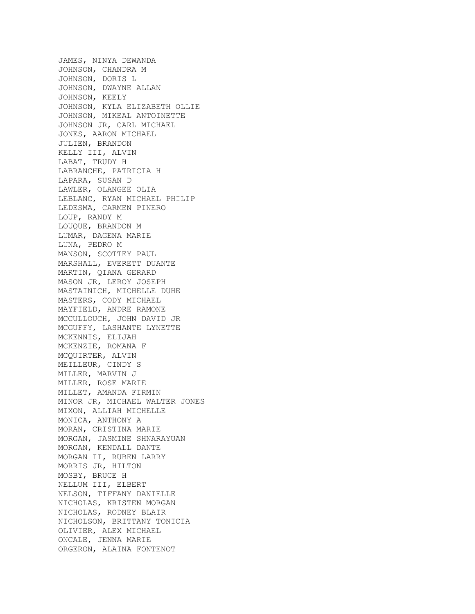JAMES, NINYA DEWANDA JOHNSON, CHANDRA M JOHNSON, DORIS L JOHNSON, DWAYNE ALLAN JOHNSON, KEELY JOHNSON, KYLA ELIZABETH OLLIE JOHNSON, MIKEAL ANTOINETTE JOHNSON JR, CARL MICHAEL JONES, AARON MICHAEL JULIEN, BRANDON KELLY III, ALVIN LABAT, TRUDY H LABRANCHE, PATRICIA H LAPARA, SUSAN D LAWLER, OLANGEE OLIA LEBLANC, RYAN MICHAEL PHILIP LEDESMA, CARMEN PINERO LOUP, RANDY M LOUQUE, BRANDON M LUMAR, DAGENA MARIE LUNA, PEDRO M MANSON, SCOTTEY PAUL MARSHALL, EVERETT DUANTE MARTIN, QIANA GERARD MASON JR, LEROY JOSEPH MASTAINICH, MICHELLE DUHE MASTERS, CODY MICHAEL MAYFIELD, ANDRE RAMONE MCCULLOUCH, JOHN DAVID JR MCGUFFY, LASHANTE LYNETTE MCKENNIS, ELIJAH MCKENZIE, ROMANA F MCQUIRTER, ALVIN MEILLEUR, CINDY S MILLER, MARVIN J MILLER, ROSE MARIE MILLET, AMANDA FIRMIN MINOR JR, MICHAEL WALTER JONES MIXON, ALLIAH MICHELLE MONICA, ANTHONY A MORAN, CRISTINA MARIE MORGAN, JASMINE SHNARAYUAN MORGAN, KENDALL DANTE MORGAN II, RUBEN LARRY MORRIS JR, HILTON MOSBY, BRUCE H NELLUM III, ELBERT NELSON, TIFFANY DANIELLE NICHOLAS, KRISTEN MORGAN NICHOLAS, RODNEY BLAIR NICHOLSON, BRITTANY TONICIA OLIVIER, ALEX MICHAEL ONCALE, JENNA MARIE ORGERON, ALAINA FONTENOT